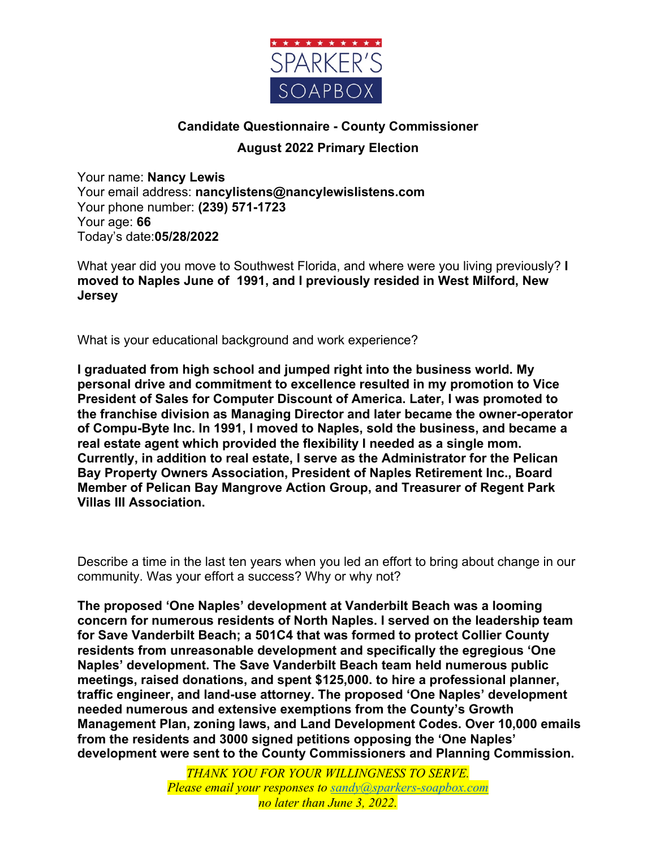

## **Candidate Questionnaire - County Commissioner August 2022 Primary Election**

Your name: **Nancy Lewis** Your email address: **nancylistens@nancylewislistens.com** Your phone number: **(239) 571-1723** Your age: **66** Today's date:**05/28/2022**

What year did you move to Southwest Florida, and where were you living previously? **I moved to Naples June of 1991, and I previously resided in West Milford, New Jersey**

What is your educational background and work experience?

**I graduated from high school and jumped right into the business world. My personal drive and commitment to excellence resulted in my promotion to Vice President of Sales for Computer Discount of America. Later, I was promoted to the franchise division as Managing Director and later became the owner-operator of Compu-Byte Inc. In 1991, I moved to Naples, sold the business, and became a real estate agent which provided the flexibility I needed as a single mom. Currently, in addition to real estate, I serve as the Administrator for the Pelican Bay Property Owners Association, President of Naples Retirement Inc., Board Member of Pelican Bay Mangrove Action Group, and Treasurer of Regent Park Villas III Association.**

Describe a time in the last ten years when you led an effort to bring about change in our community. Was your effort a success? Why or why not?

**The proposed 'One Naples' development at Vanderbilt Beach was a looming concern for numerous residents of North Naples. I served on the leadership team for Save Vanderbilt Beach; a 501C4 that was formed to protect Collier County residents from unreasonable development and specifically the egregious 'One Naples' development. The Save Vanderbilt Beach team held numerous public meetings, raised donations, and spent \$125,000. to hire a professional planner, traffic engineer, and land-use attorney. The proposed 'One Naples' development needed numerous and extensive exemptions from the County's Growth Management Plan, zoning laws, and Land Development Codes. Over 10,000 emails from the residents and 3000 signed petitions opposing the 'One Naples' development were sent to the County Commissioners and Planning Commission.** 

> *THANK YOU FOR YOUR WILLINGNESS TO SERVE. Please email your responses to sandy@sparkers-soapbox.com no later than June 3, 2022.*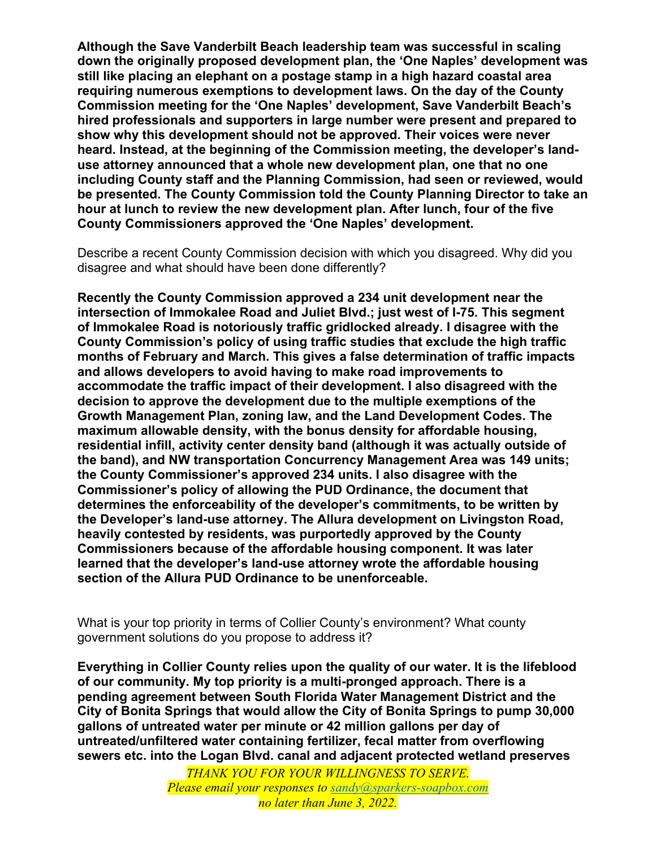**Although the Save Vanderbilt Beach leadership team was successful in scaling down the originally proposed development plan, the 'One Naples' development was still like placing an elephant on a postage stamp in a high hazard coastal area requiring numerous exemptions to development laws. On the day of the County Commission meeting for the 'One Naples' development, Save Vanderbilt Beach's hired professionals and supporters in large number were present and prepared to show why this development should not be approved. Their voices were never heard. Instead, at the beginning of the Commission meeting, the developer's landuse attorney announced that a whole new development plan, one that no one including County staff and the Planning Commission, had seen or reviewed, would be presented. The County Commission told the County Planning Director to take an hour at lunch to review the new development plan. After lunch, four of the five County Commissioners approved the 'One Naples' development.**

Describe a recent County Commission decision with which you disagreed. Why did you disagree and what should have been done differently?

**Recently the County Commission approved a 234 unit development near the intersection of Immokalee Road and Juliet Blvd.; just west of I-75. This segment of Immokalee Road is notoriously traffic gridlocked already. I disagree with the County Commission's policy of using traffic studies that exclude the high traffic months of February and March. This gives a false determination of traffic impacts and allows developers to avoid having to make road improvements to accommodate the traffic impact of their development. I also disagreed with the decision to approve the development due to the multiple exemptions of the Growth Management Plan, zoning law, and the Land Development Codes. The maximum allowable density, with the bonus density for affordable housing, residential infill, activity center density band (although it was actually outside of the band), and NW transportation Concurrency Management Area was 149 units; the County Commissioner's approved 234 units. I also disagree with the Commissioner's policy of allowing the PUD Ordinance, the document that determines the enforceability of the developer's commitments, to be written by the Developer's land-use attorney. The Allura development on Livingston Road, heavily contested by residents, was purportedly approved by the County Commissioners because of the affordable housing component. It was later learned that the developer's land-use attorney wrote the affordable housing section of the Allura PUD Ordinance to be unenforceable.**

What is your top priority in terms of Collier County's environment? What county government solutions do you propose to address it?

**Everything in Collier County relies upon the quality of our water. It is the lifeblood of our community. My top priority is a multi-pronged approach. There is a pending agreement between South Florida Water Management District and the City of Bonita Springs that would allow the City of Bonita Springs to pump 30,000 gallons of untreated water per minute or 42 million gallons per day of untreated/unfiltered water containing fertilizer, fecal matter from overflowing sewers etc. into the Logan Blvd. canal and adjacent protected wetland preserves** 

> *THANK YOU FOR YOUR WILLINGNESS TO SERVE. Please email your responses to sandy@sparkers-soapbox.com no later than June 3, 2022.*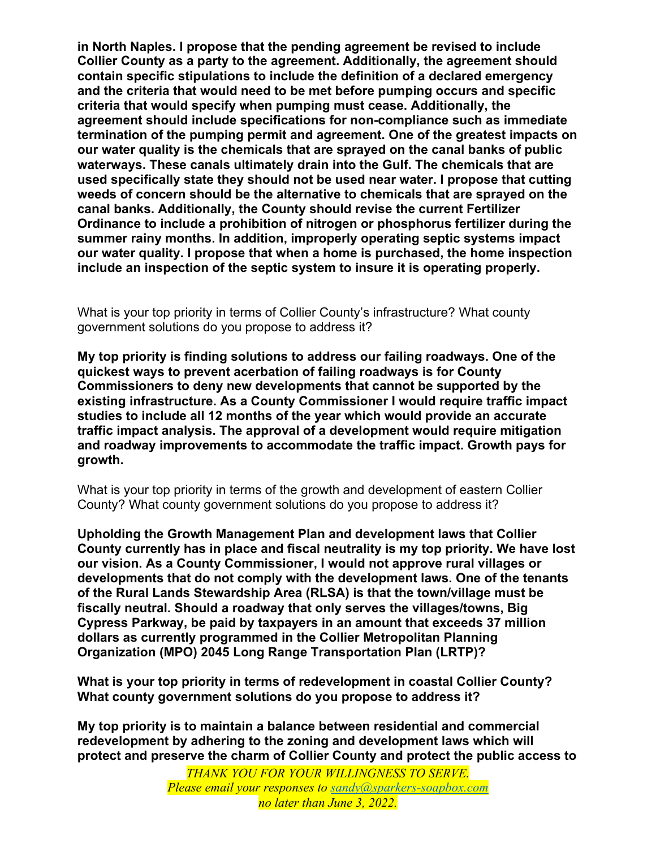**in North Naples. I propose that the pending agreement be revised to include Collier County as a party to the agreement. Additionally, the agreement should contain specific stipulations to include the definition of a declared emergency and the criteria that would need to be met before pumping occurs and specific criteria that would specify when pumping must cease. Additionally, the agreement should include specifications for non-compliance such as immediate termination of the pumping permit and agreement. One of the greatest impacts on our water quality is the chemicals that are sprayed on the canal banks of public waterways. These canals ultimately drain into the Gulf. The chemicals that are used specifically state they should not be used near water. I propose that cutting weeds of concern should be the alternative to chemicals that are sprayed on the canal banks. Additionally, the County should revise the current Fertilizer Ordinance to include a prohibition of nitrogen or phosphorus fertilizer during the summer rainy months. In addition, improperly operating septic systems impact our water quality. I propose that when a home is purchased, the home inspection include an inspection of the septic system to insure it is operating properly.**

What is your top priority in terms of Collier County's infrastructure? What county government solutions do you propose to address it?

**My top priority is finding solutions to address our failing roadways. One of the quickest ways to prevent acerbation of failing roadways is for County Commissioners to deny new developments that cannot be supported by the existing infrastructure. As a County Commissioner I would require traffic impact studies to include all 12 months of the year which would provide an accurate traffic impact analysis. The approval of a development would require mitigation and roadway improvements to accommodate the traffic impact. Growth pays for growth.**

What is your top priority in terms of the growth and development of eastern Collier County? What county government solutions do you propose to address it?

**Upholding the Growth Management Plan and development laws that Collier County currently has in place and fiscal neutrality is my top priority. We have lost our vision. As a County Commissioner, I would not approve rural villages or developments that do not comply with the development laws. One of the tenants of the Rural Lands Stewardship Area (RLSA) is that the town/village must be fiscally neutral. Should a roadway that only serves the villages/towns, Big Cypress Parkway, be paid by taxpayers in an amount that exceeds 37 million dollars as currently programmed in the Collier Metropolitan Planning Organization (MPO) 2045 Long Range Transportation Plan (LRTP)?**

**What is your top priority in terms of redevelopment in coastal Collier County? What county government solutions do you propose to address it?**

**My top priority is to maintain a balance between residential and commercial redevelopment by adhering to the zoning and development laws which will protect and preserve the charm of Collier County and protect the public access to** 

> *THANK YOU FOR YOUR WILLINGNESS TO SERVE. Please email your responses to sandy@sparkers-soapbox.com no later than June 3, 2022.*